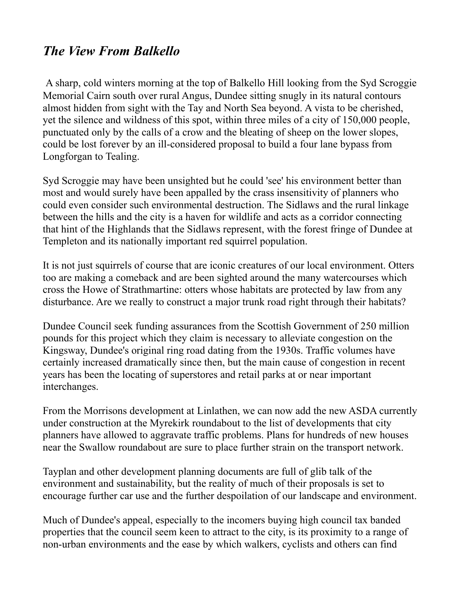## *The View From Balkello*

A sharp, cold winters morning at the top of Balkello Hill looking from the Syd Scroggie Memorial Cairn south over rural Angus, Dundee sitting snugly in its natural contours almost hidden from sight with the Tay and North Sea beyond. A vista to be cherished, yet the silence and wildness of this spot, within three miles of a city of 150,000 people, punctuated only by the calls of a crow and the bleating of sheep on the lower slopes, could be lost forever by an ill-considered proposal to build a four lane bypass from Longforgan to Tealing.

Syd Scroggie may have been unsighted but he could 'see' his environment better than most and would surely have been appalled by the crass insensitivity of planners who could even consider such environmental destruction. The Sidlaws and the rural linkage between the hills and the city is a haven for wildlife and acts as a corridor connecting that hint of the Highlands that the Sidlaws represent, with the forest fringe of Dundee at Templeton and its nationally important red squirrel population.

It is not just squirrels of course that are iconic creatures of our local environment. Otters too are making a comeback and are been sighted around the many watercourses which cross the Howe of Strathmartine: otters whose habitats are protected by law from any disturbance. Are we really to construct a major trunk road right through their habitats?

Dundee Council seek funding assurances from the Scottish Government of 250 million pounds for this project which they claim is necessary to alleviate congestion on the Kingsway, Dundee's original ring road dating from the 1930s. Traffic volumes have certainly increased dramatically since then, but the main cause of congestion in recent years has been the locating of superstores and retail parks at or near important interchanges.

From the Morrisons development at Linlathen, we can now add the new ASDA currently under construction at the Myrekirk roundabout to the list of developments that city planners have allowed to aggravate traffic problems. Plans for hundreds of new houses near the Swallow roundabout are sure to place further strain on the transport network.

Tayplan and other development planning documents are full of glib talk of the environment and sustainability, but the reality of much of their proposals is set to encourage further car use and the further despoilation of our landscape and environment.

Much of Dundee's appeal, especially to the incomers buying high council tax banded properties that the council seem keen to attract to the city, is its proximity to a range of non-urban environments and the ease by which walkers, cyclists and others can find